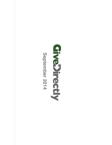

**September 2014**

September 2014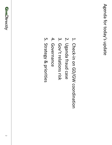- 1. Check-in on GD/GW coordination Check-in on GD/GW coordination
- 2. Uganda fraud case Uganda fraud case
- 3. Gov't relations risk Gov't relations risk
- 4. Governance Governance
- 5. Strategy & priorities Strategy & priorities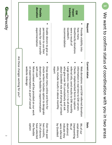|                                        | donation<br><b>Flexible</b>                                                                                                                                                                                                                              | tracking<br>impact<br>QV                                                                                                                                                                                                                                                                                                                                                         |                       |  |  |
|----------------------------------------|----------------------------------------------------------------------------------------------------------------------------------------------------------------------------------------------------------------------------------------------------------|----------------------------------------------------------------------------------------------------------------------------------------------------------------------------------------------------------------------------------------------------------------------------------------------------------------------------------------------------------------------------------|-----------------------|--|--|
|                                        | experimentation<br>money for cash transfer<br>permission to use their<br>Enable donors to give us                                                                                                                                                        | were a result of<br>GiveDirectly donations<br>recommendation<br>GiveWell's<br><b>Nuew many</b><br><b>Provide visibility into</b>                                                                                                                                                                                                                                                 | Request               |  |  |
| Are these changes wor<br>king for you? | website redesi<br>with cash<br>on experimentation as part of overal<br>More context<br>donation as flexiple for experimentation<br>check-writers<br>Drop-down menu online and form<br>Will be provided on our work<br>ື້ນ<br>ncludes option to designate | who give over<br>about GiveWe<br>Web donation<br>report<br>info; include results in above monthly<br>Large donors:<br>referral info; send results to GW monthly<br>Checks: implemented form to capture<br>information in<br>Il role and sharing of contact<br>5K cumulatively and ask<br>reach out 1:1 to all donors<br>s: send GW-referred donation<br>real-trime to GW servers | <b>Current status</b> |  |  |
|                                        | option<br>two months,<br>the flexible<br>have selected<br>2% of donors<br>Over the past                                                                                                                                                                  | 9% of our<br>were referred<br>9% of<br>by GiveWell<br>donations)<br>indicate they<br>(representing<br>retail donors                                                                                                                                                                                                                                                              | <b>Stats</b>          |  |  |

We want to confirm status of coordination with you in two areas

1 We want to confirm status of coordination with you in two areas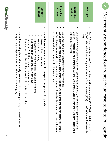|                                                                                                                                                                                                                                                                                                                          | response<br><b>Broader</b>                                                                                                                                                         | Immediate<br>actions                                                                                                                                                                                                                                                                                      | Responsible<br>parties                                                                                                                                                                                             | Damages                                                                                                                                                                                                                    | N                                                              |
|--------------------------------------------------------------------------------------------------------------------------------------------------------------------------------------------------------------------------------------------------------------------------------------------------------------------------|------------------------------------------------------------------------------------------------------------------------------------------------------------------------------------|-----------------------------------------------------------------------------------------------------------------------------------------------------------------------------------------------------------------------------------------------------------------------------------------------------------|--------------------------------------------------------------------------------------------------------------------------------------------------------------------------------------------------------------------|----------------------------------------------------------------------------------------------------------------------------------------------------------------------------------------------------------------------------|----------------------------------------------------------------|
| п                                                                                                                                                                                                                                                                                                                        | п                                                                                                                                                                                  |                                                                                                                                                                                                                                                                                                           |                                                                                                                                                                                                                    | п                                                                                                                                                                                                                          |                                                                |
| We will be writing about this publicly. She kiew this as an opportunity to raise the par for<br>transparency, and push donors to ask more about<br>Increase use of networks that provide alternatives to pay-days.<br>Senior MTN staff present at more pay-days<br>Real-time phone spot checks on pay-days<br>integrity. | We will make a number of specific changes to our<br>FD audits all pay-days<br>Nove rotline to Karnpala<br>Cultivating network of English-speaking informants<br>process in Uganda. | any recovered funds among affected recipients<br>We've filed police reports filed against all perpetra<br>We've distrissed responsing to the staff order of the system of the staff over to train<br>We've reached 92% of affected recipients to discuss<br>tors (investigation underway) and will divide | with for 10 months)<br>GD), MTN master agent (partnering with for 10 months), Ezee Money master agent (partnering<br>Collusion between senior field officer (16 months<br>with GD), office manager (16 months with | (15%)<br>50,000 UGX deductions franciers (85%) or theft of entire final transfers (85%) or theft of entire final transfers<br>Two GD staff members stole 2% of transfers on Google campaign (\$20,500 in total) in form of | We recently experienced our worst fraud case to date in Uganda |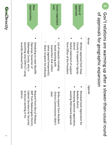|                             | Kenya                                                                                                                                          | Uganda                                                                                                                                 |
|-----------------------------|------------------------------------------------------------------------------------------------------------------------------------------------|----------------------------------------------------------------------------------------------------------------------------------------|
| sporovals<br>Status of      | trom Office of the President<br>Verbal statement of support<br>district<br>Written approval from Siaya<br>County to expand to Ugunja           | ■<br>awaiting NGO board approval<br>Renewing national registration,<br>Bukedia district<br>Renewed local registration for              |
| OVEL<br>Issues negotiated   | List of requests including:<br>saliva (agreed temporarily)<br>Share recipient list (refused)<br>Avoid working with<br>researchers that collect | (Aed<br>District Commissioner (didn't<br>Bribe request from Resident                                                                   |
| opportunities<br><b>New</b> | Scheduling to meet Wycliffe<br>recently devolved fund<br>Kakamega County, who is<br>Oparanya, Governor of<br>launching new \$2M CCT using      | district<br>to discuss working in his<br>Cabinet Secretary for Security)<br>(MP from Nakosongola District,<br>Request from Muli Mukasa |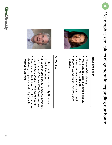**4**



п

## **Jacquelline Jacquelline Fuller**

- п Director of Google.org
- Previously at Gates Foundation, deputy director of Global Health director of Global Health Previously at Gates Foundation, deputy

п

- Masters from Harvard Kenney School Masters from Harvard Kenney School
- п Board of World Vision, Eastern Congo Initiative Initiative Board of World Vision, Eastern Congo



## **Bill Meehan Bill Meehan**

School of Business School of Business Lecturer at Stanford University Graduate

п

- п 30 years at McKinsey & Company, in various senior roles (SF office, West Coast practice, Shareholder's Council senior roles (SF office, West Coast practice, 30 years at McKinsey & Company, in various --Mckinsey's board)
- л Board service: United Way SF, SF Symphony, Westward Learning Guidestar, Juniper Networks, Big Switch, Westward Learning Guidestar Board service: United Way SF, SF Symphony, , Juniper Networks, Big Switch,

**6**

**GiveDirectly**